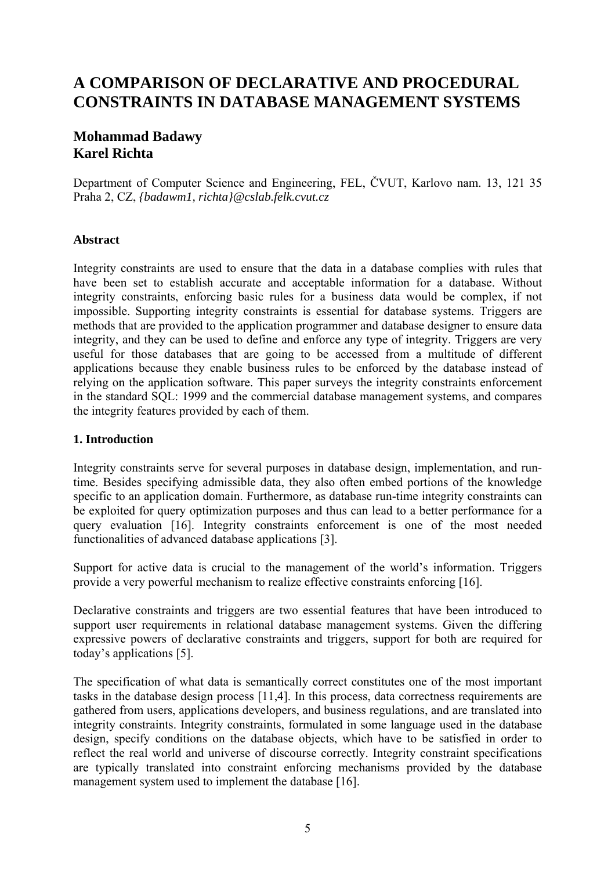# **A COMPARISON OF DECLARATIVE AND PROCEDURAL CONSTRAINTS IN DATABASE MANAGEMENT SYSTEMS**

# **Mohammad Badawy Karel Richta**

Department of Computer Science and Engineering, FEL, ČVUT, Karlovo nam. 13, 121 35 Praha 2, CZ, *{badawm1, richta}@cslab.felk.cvut.cz* 

### **Abstract**

Integrity constraints are used to ensure that the data in a database complies with rules that have been set to establish accurate and acceptable information for a database. Without integrity constraints, enforcing basic rules for a business data would be complex, if not impossible. Supporting integrity constraints is essential for database systems. Triggers are methods that are provided to the application programmer and database designer to ensure data integrity, and they can be used to define and enforce any type of integrity. Triggers are very useful for those databases that are going to be accessed from a multitude of different applications because they enable business rules to be enforced by the database instead of relying on the application software. This paper surveys the integrity constraints enforcement in the standard SQL: 1999 and the commercial database management systems, and compares the integrity features provided by each of them.

### **1. Introduction**

Integrity constraints serve for several purposes in database design, implementation, and runtime. Besides specifying admissible data, they also often embed portions of the knowledge specific to an application domain. Furthermore, as database run-time integrity constraints can be exploited for query optimization purposes and thus can lead to a better performance for a query evaluation [16]. Integrity constraints enforcement is one of the most needed functionalities of advanced database applications [3].

Support for active data is crucial to the management of the world's information. Triggers provide a very powerful mechanism to realize effective constraints enforcing [16].

Declarative constraints and triggers are two essential features that have been introduced to support user requirements in relational database management systems. Given the differing expressive powers of declarative constraints and triggers, support for both are required for today's applications [5].

The specification of what data is semantically correct constitutes one of the most important tasks in the database design process [11,4]. In this process, data correctness requirements are gathered from users, applications developers, and business regulations, and are translated into integrity constraints. Integrity constraints, formulated in some language used in the database design, specify conditions on the database objects, which have to be satisfied in order to reflect the real world and universe of discourse correctly. Integrity constraint specifications are typically translated into constraint enforcing mechanisms provided by the database management system used to implement the database [16].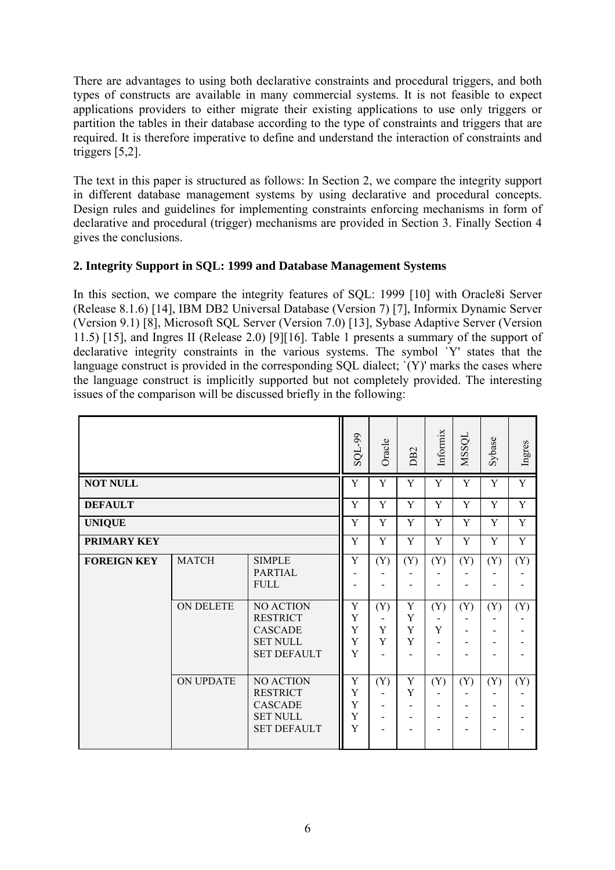There are advantages to using both declarative constraints and procedural triggers, and both types of constructs are available in many commercial systems. It is not feasible to expect applications providers to either migrate their existing applications to use only triggers or partition the tables in their database according to the type of constraints and triggers that are required. It is therefore imperative to define and understand the interaction of constraints and triggers [5,2].

The text in this paper is structured as follows: In Section 2, we compare the integrity support in different database management systems by using declarative and procedural concepts. Design rules and guidelines for implementing constraints enforcing mechanisms in form of declarative and procedural (trigger) mechanisms are provided in Section 3. Finally Section 4 gives the conclusions.

## **2. Integrity Support in SQL: 1999 and Database Management Systems**

In this section, we compare the integrity features of SQL: 1999 [10] with Oracle8i Server (Release 8.1.6) [14], IBM DB2 Universal Database (Version 7) [7], Informix Dynamic Server (Version 9.1) [8], Microsoft SQL Server (Version 7.0) [13], Sybase Adaptive Server (Version 11.5) [15], and Ingres II (Release 2.0) [9][16]. Table 1 presents a summary of the support of declarative integrity constraints in the various systems. The symbol `Y' states that the language construct is provided in the corresponding SQL dialect; '(Y)' marks the cases where the language construct is implicitly supported but not completely provided. The interesting issues of the comparison will be discussed briefly in the following:

|                    |              |                                                                                                | SQL-99                | Oracle        | DB <sub>2</sub>  | Informix | NSSQL | Sybase | Ingres |
|--------------------|--------------|------------------------------------------------------------------------------------------------|-----------------------|---------------|------------------|----------|-------|--------|--------|
| <b>NOT NULL</b>    |              |                                                                                                |                       | Y             | Y                | Y        | Y     | Y      | Y      |
| <b>DEFAULT</b>     |              |                                                                                                | Y                     | Y             | Y                | Y        | Y     | Y      | Y      |
| <b>UNIQUE</b>      |              |                                                                                                | Y                     | Y             | Y                | Y        | Y     | Y      | Y      |
| PRIMARY KEY        |              |                                                                                                |                       | Y             | Y                | Y        | Y     | Y      | Y      |
| <b>FOREIGN KEY</b> | <b>MATCH</b> | <b>SIMPLE</b><br><b>PARTIAL</b><br><b>FULL</b>                                                 | Y                     | (Y)           | (Y)              | (Y)      | (Y)   | (Y)    | (Y)    |
|                    | ON DELETE    | NO ACTION<br><b>RESTRICT</b><br><b>CASCADE</b><br><b>SET NULL</b><br><b>SET DEFAULT</b>        | Y<br>Y<br>Y<br>Y<br>Y | (Y)<br>Y<br>Y | Y<br>Y<br>Y<br>Y | (Y)<br>Y | (Y)   | (Y)    | (Y)    |
|                    | ON UPDATE    | <b>NO ACTION</b><br><b>RESTRICT</b><br><b>CASCADE</b><br><b>SET NULL</b><br><b>SET DEFAULT</b> | Y<br>Y<br>Y<br>Y<br>Y | (Y)           | Y<br>Y           | (Y)      | (Y)   | (Y)    | (Y)    |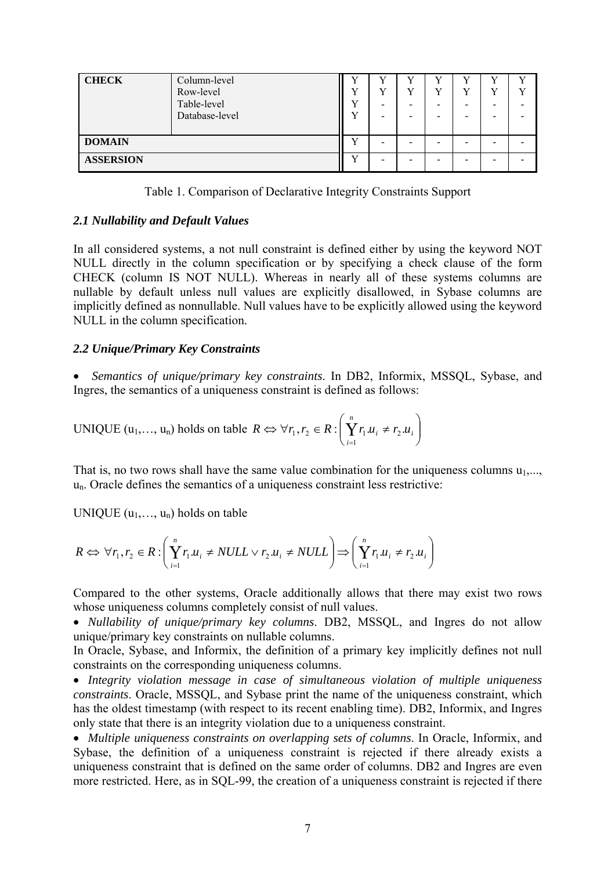| <b>CHECK</b>     | Column-level<br>Row-level<br>Table-level<br>Database-level | $\mathbf{r}$<br>т 7<br>T | $\tau$<br>$\overline{f}$<br>-<br>- | v<br>v<br>-<br>- |  | $\mathbf{v}$ | $\mathbf{v}$<br><b>T</b> 7 |
|------------------|------------------------------------------------------------|--------------------------|------------------------------------|------------------|--|--------------|----------------------------|
| <b>DOMAIN</b>    |                                                            | $\mathbf{v}$             |                                    | -                |  |              |                            |
| <b>ASSERSION</b> |                                                            |                          |                                    |                  |  |              |                            |

Table 1. Comparison of Declarative Integrity Constraints Support

#### *2.1 Nullability and Default Values*

In all considered systems, a not null constraint is defined either by using the keyword NOT NULL directly in the column specification or by specifying a check clause of the form CHECK (column IS NOT NULL). Whereas in nearly all of these systems columns are nullable by default unless null values are explicitly disallowed, in Sybase columns are implicitly defined as nonnullable. Null values have to be explicitly allowed using the keyword NULL in the column specification.

#### *2.2 Unique/Primary Key Constraints*

• *Semantics of unique/primary key constraints*. In DB2, Informix, MSSQL, Sybase, and Ingres, the semantics of a uniqueness constraint is defined as follows:

UNIQUE 
$$
(u_1, ..., u_n)
$$
 holds on table  $R \Leftrightarrow \forall r_1, r_2 \in R : \left(\sum_{i=1}^n r_1 u_i \neq r_2 u_i\right)$ 

That is, no two rows shall have the same value combination for the uniqueness columns  $u_1$ ,... un. Oracle defines the semantics of a uniqueness constraint less restrictive:

UNIQUE  $(u_1, \ldots, u_n)$  holds on table

$$
R \Leftrightarrow \forall r_1, r_2 \in R : \left(\bigvee_{i=1}^n r_1.u_i \neq NULL \lor r_2.u_i \neq NULL\right) \Longrightarrow \left(\bigvee_{i=1}^n r_1.u_i \neq r_2.u_i\right)
$$

Compared to the other systems, Oracle additionally allows that there may exist two rows whose uniqueness columns completely consist of null values.

• *Nullability of unique/primary key columns*. DB2, MSSQL, and Ingres do not allow unique/primary key constraints on nullable columns.

In Oracle, Sybase, and Informix, the definition of a primary key implicitly defines not null constraints on the corresponding uniqueness columns.

• *Integrity violation message in case of simultaneous violation of multiple uniqueness constraints*. Oracle, MSSQL, and Sybase print the name of the uniqueness constraint, which has the oldest timestamp (with respect to its recent enabling time). DB2, Informix, and Ingres only state that there is an integrity violation due to a uniqueness constraint.

• *Multiple uniqueness constraints on overlapping sets of columns*. In Oracle, Informix, and Sybase, the definition of a uniqueness constraint is rejected if there already exists a uniqueness constraint that is defined on the same order of columns. DB2 and Ingres are even more restricted. Here, as in SQL-99, the creation of a uniqueness constraint is rejected if there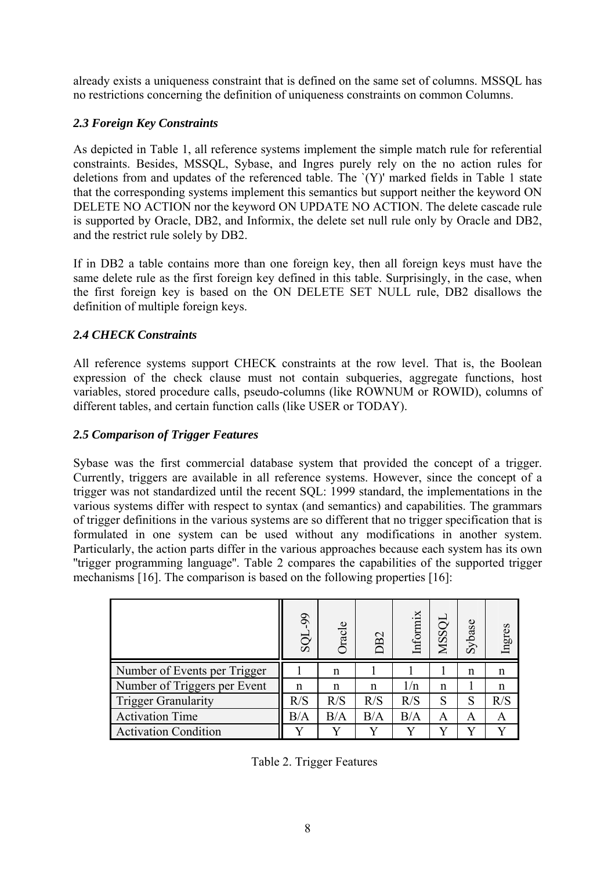already exists a uniqueness constraint that is defined on the same set of columns. MSSQL has no restrictions concerning the definition of uniqueness constraints on common Columns.

# *2.3 Foreign Key Constraints*

As depicted in Table 1, all reference systems implement the simple match rule for referential constraints. Besides, MSSQL, Sybase, and Ingres purely rely on the no action rules for deletions from and updates of the referenced table. The `(Y)' marked fields in Table 1 state that the corresponding systems implement this semantics but support neither the keyword ON DELETE NO ACTION nor the keyword ON UPDATE NO ACTION. The delete cascade rule is supported by Oracle, DB2, and Informix, the delete set null rule only by Oracle and DB2, and the restrict rule solely by DB2.

If in DB2 a table contains more than one foreign key, then all foreign keys must have the same delete rule as the first foreign key defined in this table. Surprisingly, in the case, when the first foreign key is based on the ON DELETE SET NULL rule, DB2 disallows the definition of multiple foreign keys.

# *2.4 CHECK Constraints*

All reference systems support CHECK constraints at the row level. That is, the Boolean expression of the check clause must not contain subqueries, aggregate functions, host variables, stored procedure calls, pseudo-columns (like ROWNUM or ROWID), columns of different tables, and certain function calls (like USER or TODAY).

# *2.5 Comparison of Trigger Features*

Sybase was the first commercial database system that provided the concept of a trigger. Currently, triggers are available in all reference systems. However, since the concept of a trigger was not standardized until the recent SQL: 1999 standard, the implementations in the various systems differ with respect to syntax (and semantics) and capabilities. The grammars of trigger definitions in the various systems are so different that no trigger specification that is formulated in one system can be used without any modifications in another system. Particularly, the action parts differ in the various approaches because each system has its own ''trigger programming language''. Table 2 compares the capabilities of the supported trigger mechanisms [16]. The comparison is based on the following properties [16]:

|                              | 99<br>SQI | Oracle | B <sub>2</sub> | Informix | NSSQL | Sybase | Ingres |
|------------------------------|-----------|--------|----------------|----------|-------|--------|--------|
| Number of Events per Trigger |           | n      |                |          |       | n      | n      |
| Number of Triggers per Event | n         | n      | n              | 1/n      | n     |        | n      |
| <b>Trigger Granularity</b>   | R/S       | R/S    | R/S            | R/S      | S     | S      | R/S    |
| <b>Activation Time</b>       | $\rm B/A$ | B/A    | B/A            | B/A      | A     | Α      | Α      |
| <b>Activation Condition</b>  |           |        |                |          |       | v      |        |

Table 2. Trigger Features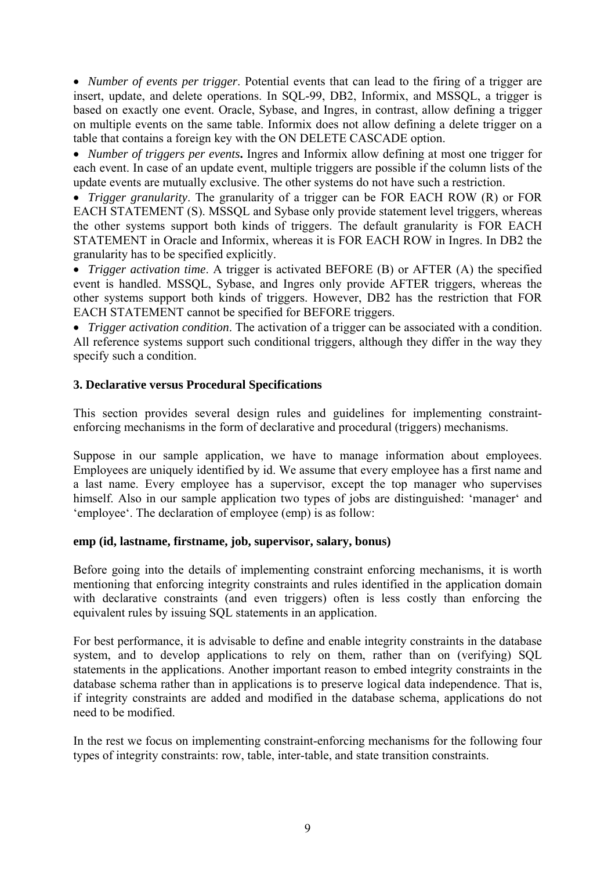• *Number of events per trigger*. Potential events that can lead to the firing of a trigger are insert, update, and delete operations. In SQL-99, DB2, Informix, and MSSQL, a trigger is based on exactly one event. Oracle, Sybase, and Ingres, in contrast, allow defining a trigger on multiple events on the same table. Informix does not allow defining a delete trigger on a table that contains a foreign key with the ON DELETE CASCADE option.

• *Number of triggers per events***.** Ingres and Informix allow defining at most one trigger for each event. In case of an update event, multiple triggers are possible if the column lists of the update events are mutually exclusive. The other systems do not have such a restriction.

• *Trigger granularity*. The granularity of a trigger can be FOR EACH ROW (R) or FOR EACH STATEMENT (S). MSSQL and Sybase only provide statement level triggers, whereas the other systems support both kinds of triggers. The default granularity is FOR EACH STATEMENT in Oracle and Informix, whereas it is FOR EACH ROW in Ingres. In DB2 the granularity has to be specified explicitly.

• *Trigger activation time*. A trigger is activated BEFORE (B) or AFTER (A) the specified event is handled. MSSQL, Sybase, and Ingres only provide AFTER triggers, whereas the other systems support both kinds of triggers. However, DB2 has the restriction that FOR EACH STATEMENT cannot be specified for BEFORE triggers.

• *Trigger activation condition*. The activation of a trigger can be associated with a condition. All reference systems support such conditional triggers, although they differ in the way they specify such a condition.

#### **3. Declarative versus Procedural Specifications**

This section provides several design rules and guidelines for implementing constraintenforcing mechanisms in the form of declarative and procedural (triggers) mechanisms.

Suppose in our sample application, we have to manage information about employees. Employees are uniquely identified by id. We assume that every employee has a first name and a last name. Every employee has a supervisor, except the top manager who supervises himself. Also in our sample application two types of jobs are distinguished: 'manager' and 'employee'. The declaration of employee (emp) is as follow:

#### **emp (id, lastname, firstname, job, supervisor, salary, bonus)**

Before going into the details of implementing constraint enforcing mechanisms, it is worth mentioning that enforcing integrity constraints and rules identified in the application domain with declarative constraints (and even triggers) often is less costly than enforcing the equivalent rules by issuing SQL statements in an application.

For best performance, it is advisable to define and enable integrity constraints in the database system, and to develop applications to rely on them, rather than on (verifying) SQL statements in the applications. Another important reason to embed integrity constraints in the database schema rather than in applications is to preserve logical data independence. That is, if integrity constraints are added and modified in the database schema, applications do not need to be modified.

In the rest we focus on implementing constraint-enforcing mechanisms for the following four types of integrity constraints: row, table, inter-table, and state transition constraints.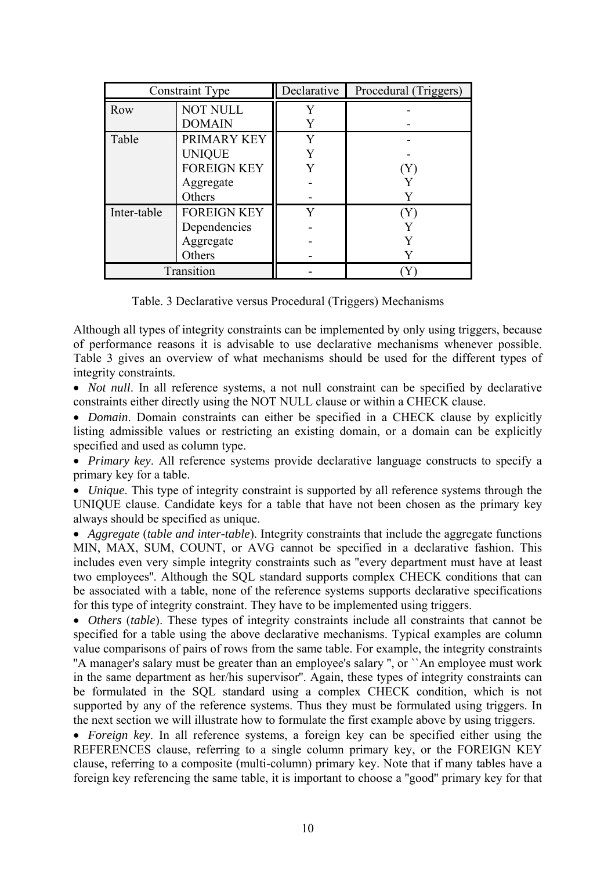| Constraint Type |                    | Declarative | Procedural (Triggers) |
|-----------------|--------------------|-------------|-----------------------|
| Row             | <b>NOT NULL</b>    | Y           |                       |
|                 | <b>DOMAIN</b>      |             |                       |
| Table           | PRIMARY KEY        | Y           |                       |
|                 | <b>UNIQUE</b>      | Y           |                       |
|                 | <b>FOREIGN KEY</b> |             | $\rm Y$               |
|                 | Aggregate          |             |                       |
|                 | Others             |             |                       |
| Inter-table     | <b>FOREIGN KEY</b> | v           | Y                     |
|                 | Dependencies       |             |                       |
|                 | Aggregate          |             |                       |
|                 | Others             |             |                       |
| Transition      |                    |             |                       |

Table. 3 Declarative versus Procedural (Triggers) Mechanisms

Although all types of integrity constraints can be implemented by only using triggers, because of performance reasons it is advisable to use declarative mechanisms whenever possible. Table 3 gives an overview of what mechanisms should be used for the different types of integrity constraints.

• *Not null*. In all reference systems, a not null constraint can be specified by declarative constraints either directly using the NOT NULL clause or within a CHECK clause.

• *Domain*. Domain constraints can either be specified in a CHECK clause by explicitly listing admissible values or restricting an existing domain, or a domain can be explicitly specified and used as column type.

• *Primary key*. All reference systems provide declarative language constructs to specify a primary key for a table.

• *Unique*. This type of integrity constraint is supported by all reference systems through the UNIQUE clause. Candidate keys for a table that have not been chosen as the primary key always should be specified as unique.

• *Aggregate (table and inter-table)*. Integrity constraints that include the aggregate functions MIN, MAX, SUM, COUNT, or AVG cannot be specified in a declarative fashion. This includes even very simple integrity constraints such as ''every department must have at least two employees''. Although the SQL standard supports complex CHECK conditions that can be associated with a table, none of the reference systems supports declarative specifications for this type of integrity constraint. They have to be implemented using triggers.

• *Others (table)*. These types of integrity constraints include all constraints that cannot be specified for a table using the above declarative mechanisms. Typical examples are column value comparisons of pairs of rows from the same table. For example, the integrity constraints "A manager's salary must be greater than an employee's salary ", or ``An employee must work in the same department as her/his supervisor''. Again, these types of integrity constraints can be formulated in the SQL standard using a complex CHECK condition, which is not supported by any of the reference systems. Thus they must be formulated using triggers. In the next section we will illustrate how to formulate the first example above by using triggers.

• *Foreign key*. In all reference systems, a foreign key can be specified either using the REFERENCES clause, referring to a single column primary key, or the FOREIGN KEY clause, referring to a composite (multi-column) primary key. Note that if many tables have a foreign key referencing the same table, it is important to choose a ''good'' primary key for that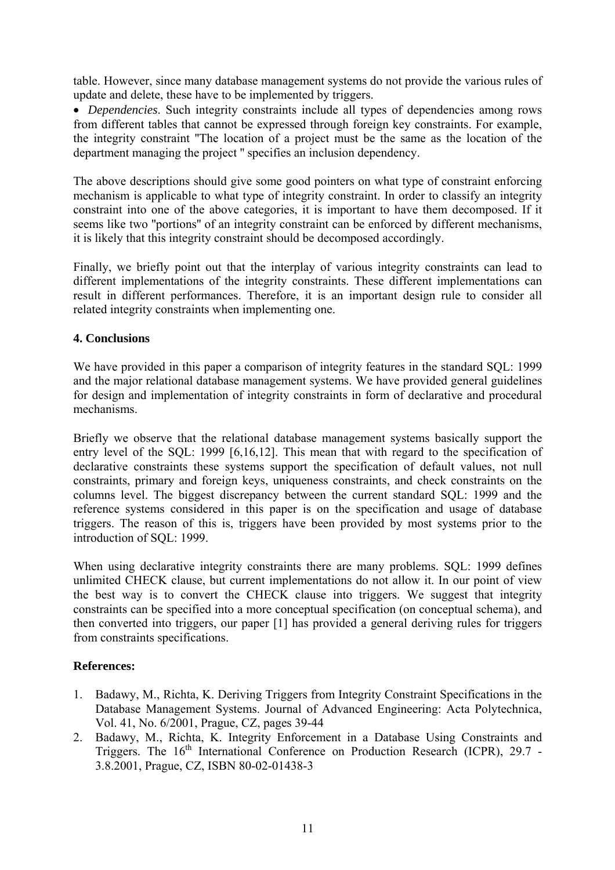table. However, since many database management systems do not provide the various rules of update and delete, these have to be implemented by triggers.

• *Dependencies*. Such integrity constraints include all types of dependencies among rows from different tables that cannot be expressed through foreign key constraints. For example, the integrity constraint ''The location of a project must be the same as the location of the department managing the project '' specifies an inclusion dependency.

The above descriptions should give some good pointers on what type of constraint enforcing mechanism is applicable to what type of integrity constraint. In order to classify an integrity constraint into one of the above categories, it is important to have them decomposed. If it seems like two ''portions'' of an integrity constraint can be enforced by different mechanisms, it is likely that this integrity constraint should be decomposed accordingly.

Finally, we briefly point out that the interplay of various integrity constraints can lead to different implementations of the integrity constraints. These different implementations can result in different performances. Therefore, it is an important design rule to consider all related integrity constraints when implementing one.

### **4. Conclusions**

We have provided in this paper a comparison of integrity features in the standard SQL: 1999 and the major relational database management systems. We have provided general guidelines for design and implementation of integrity constraints in form of declarative and procedural mechanisms.

Briefly we observe that the relational database management systems basically support the entry level of the SQL: 1999 [6,16,12]. This mean that with regard to the specification of declarative constraints these systems support the specification of default values, not null constraints, primary and foreign keys, uniqueness constraints, and check constraints on the columns level. The biggest discrepancy between the current standard SQL: 1999 and the reference systems considered in this paper is on the specification and usage of database triggers. The reason of this is, triggers have been provided by most systems prior to the introduction of SQL: 1999.

When using declarative integrity constraints there are many problems. SQL: 1999 defines unlimited CHECK clause, but current implementations do not allow it. In our point of view the best way is to convert the CHECK clause into triggers. We suggest that integrity constraints can be specified into a more conceptual specification (on conceptual schema), and then converted into triggers, our paper [1] has provided a general deriving rules for triggers from constraints specifications.

### **References:**

- 1. Badawy, M., Richta, K. Deriving Triggers from Integrity Constraint Specifications in the Database Management Systems. Journal of Advanced Engineering: Acta Polytechnica, Vol. 41, No. 6/2001, Prague, CZ, pages 39-44
- 2. Badawy, M., Richta, K. Integrity Enforcement in a Database Using Constraints and Triggers. The  $16<sup>th</sup>$  International Conference on Production Research (ICPR), 29.7 -3.8.2001, Prague, CZ, ISBN 80-02-01438-3